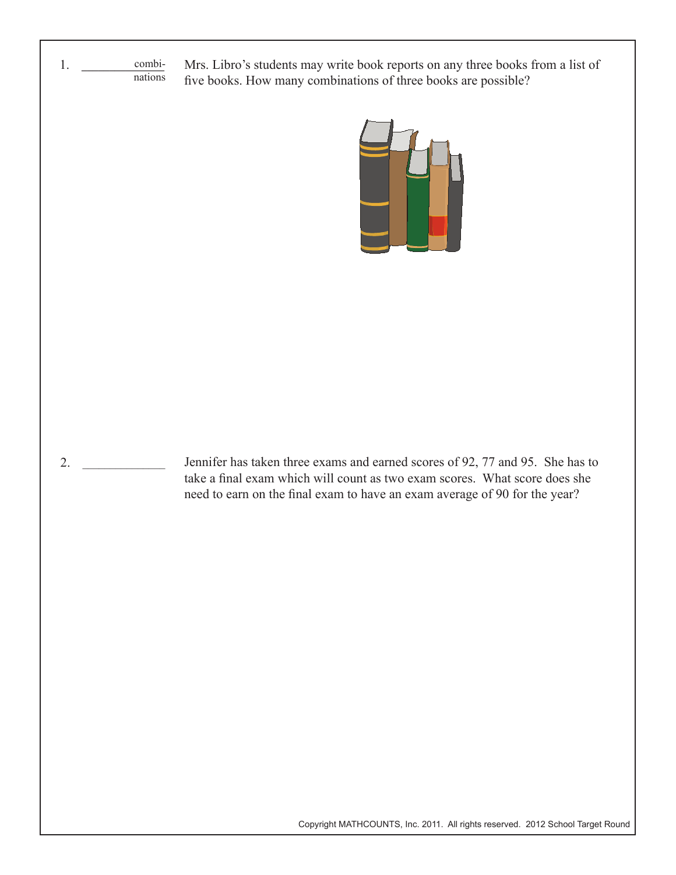1. **\_\_\_\_\_\_\_\_\_\_\_\_\_\_\_\_** combinations Mrs. Libro's students may write book reports on any three books from a list of five books. How many combinations of three books are possible?



2. \_\_\_\_\_\_\_\_\_\_\_\_\_\_\_ Jennifer has taken three exams and earned scores of 92, 77 and 95. She has to take a final exam which will count as two exam scores. What score does she need to earn on the final exam to have an exam average of 90 for the year?

Copyright MATHCOUNTS, Inc. 2011. All rights reserved. 2012 School Target Round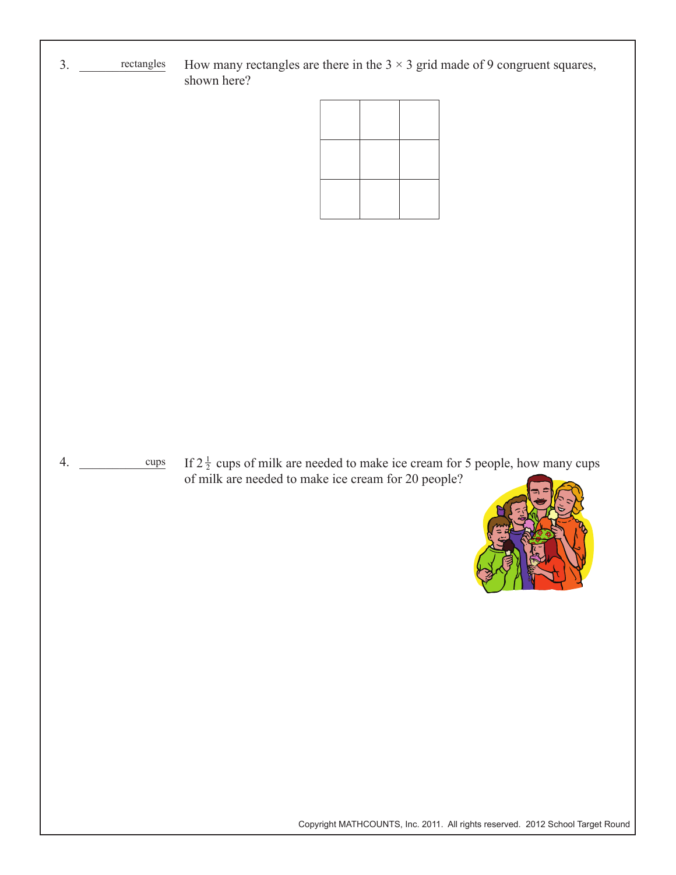

Copyright MATHCOUNTS, Inc. 2011. All rights reserved. 2012 School Target Round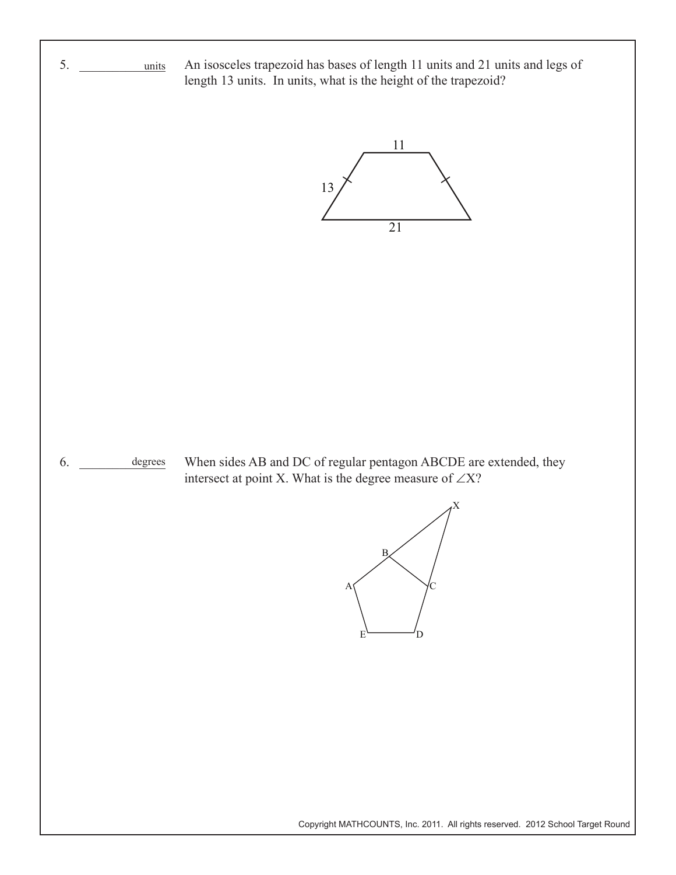